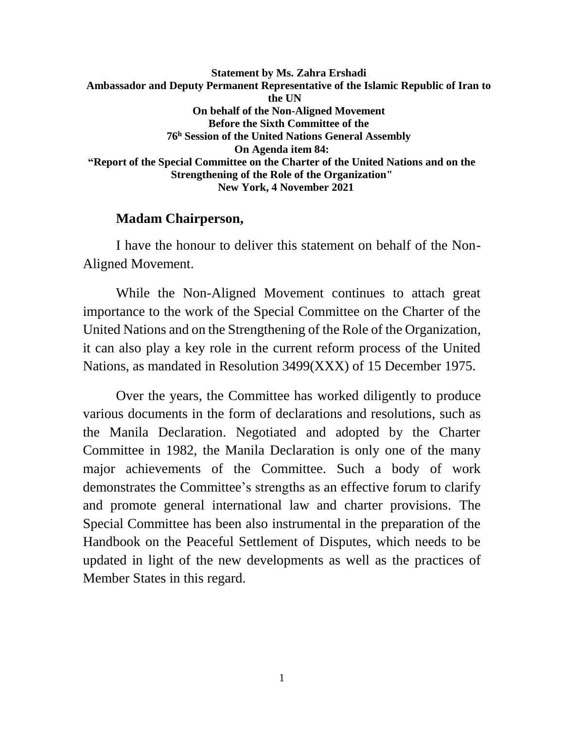**Statement by Ms. Zahra Ershadi Ambassador and Deputy Permanent Representative of the Islamic Republic of Iran to the UN On behalf of the Non-Aligned Movement Before the Sixth Committee of the 76<sup>h</sup> Session of the United Nations General Assembly On Agenda item 84: "Report of the Special Committee on the Charter of the United Nations and on the Strengthening of the Role of the Organization" New York, 4 November 2021**

#### **Madam Chairperson,**

I have the honour to deliver this statement on behalf of the Non-Aligned Movement.

While the Non-Aligned Movement continues to attach great importance to the work of the Special Committee on the Charter of the United Nations and on the Strengthening of the Role of the Organization, it can also play a key role in the current reform process of the United Nations, as mandated in Resolution 3499(XXX) of 15 December 1975.

Over the years, the Committee has worked diligently to produce various documents in the form of declarations and resolutions, such as the Manila Declaration. Negotiated and adopted by the Charter Committee in 1982, the Manila Declaration is only one of the many major achievements of the Committee. Such a body of work demonstrates the Committee's strengths as an effective forum to clarify and promote general international law and charter provisions. The Special Committee has been also instrumental in the preparation of the Handbook on the Peaceful Settlement of Disputes, which needs to be updated in light of the new developments as well as the practices of Member States in this regard.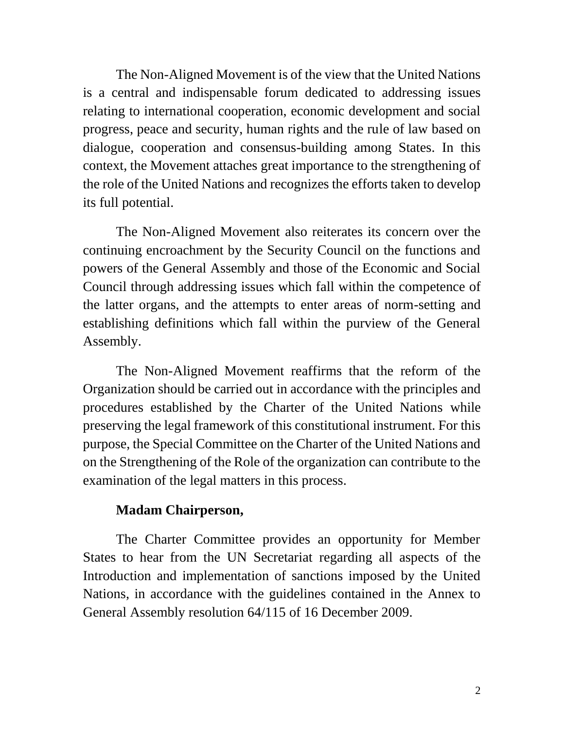The Non-Aligned Movement is of the view that the United Nations is a central and indispensable forum dedicated to addressing issues relating to international cooperation, economic development and social progress, peace and security, human rights and the rule of law based on dialogue, cooperation and consensus-building among States. In this context, the Movement attaches great importance to the strengthening of the role of the United Nations and recognizes the efforts taken to develop its full potential.

The Non-Aligned Movement also reiterates its concern over the continuing encroachment by the Security Council on the functions and powers of the General Assembly and those of the Economic and Social Council through addressing issues which fall within the competence of the latter organs, and the attempts to enter areas of norm-setting and establishing definitions which fall within the purview of the General Assembly.

The Non-Aligned Movement reaffirms that the reform of the Organization should be carried out in accordance with the principles and procedures established by the Charter of the United Nations while preserving the legal framework of this constitutional instrument. For this purpose, the Special Committee on the Charter of the United Nations and on the Strengthening of the Role of the organization can contribute to the examination of the legal matters in this process.

## **Madam Chairperson,**

The Charter Committee provides an opportunity for Member States to hear from the UN Secretariat regarding all aspects of the Introduction and implementation of sanctions imposed by the United Nations, in accordance with the guidelines contained in the Annex to General Assembly resolution 64/115 of 16 December 2009.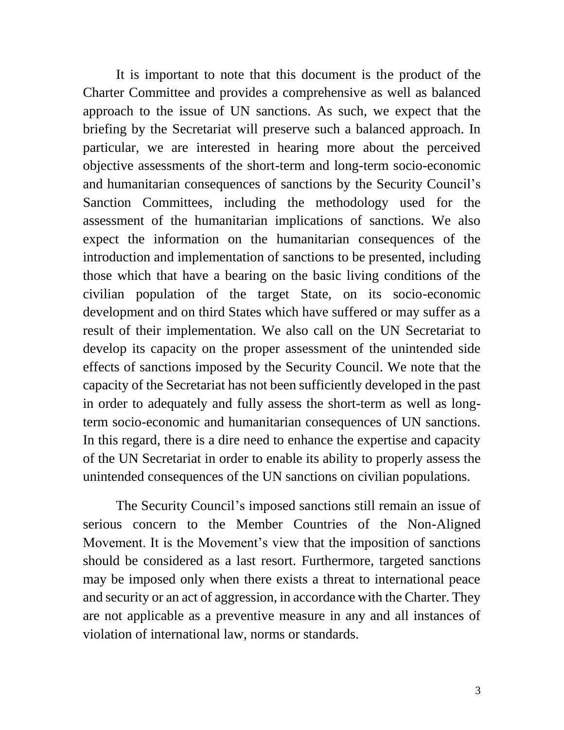It is important to note that this document is the product of the Charter Committee and provides a comprehensive as well as balanced approach to the issue of UN sanctions. As such, we expect that the briefing by the Secretariat will preserve such a balanced approach. In particular, we are interested in hearing more about the perceived objective assessments of the short-term and long-term socio-economic and humanitarian consequences of sanctions by the Security Council's Sanction Committees, including the methodology used for the assessment of the humanitarian implications of sanctions. We also expect the information on the humanitarian consequences of the introduction and implementation of sanctions to be presented, including those which that have a bearing on the basic living conditions of the civilian population of the target State, on its socio-economic development and on third States which have suffered or may suffer as a result of their implementation. We also call on the UN Secretariat to develop its capacity on the proper assessment of the unintended side effects of sanctions imposed by the Security Council. We note that the capacity of the Secretariat has not been sufficiently developed in the past in order to adequately and fully assess the short-term as well as longterm socio-economic and humanitarian consequences of UN sanctions. In this regard, there is a dire need to enhance the expertise and capacity of the UN Secretariat in order to enable its ability to properly assess the unintended consequences of the UN sanctions on civilian populations.

The Security Council's imposed sanctions still remain an issue of serious concern to the Member Countries of the Non-Aligned Movement. It is the Movement's view that the imposition of sanctions should be considered as a last resort. Furthermore, targeted sanctions may be imposed only when there exists a threat to international peace and security or an act of aggression, in accordance with the Charter. They are not applicable as a preventive measure in any and all instances of violation of international law, norms or standards.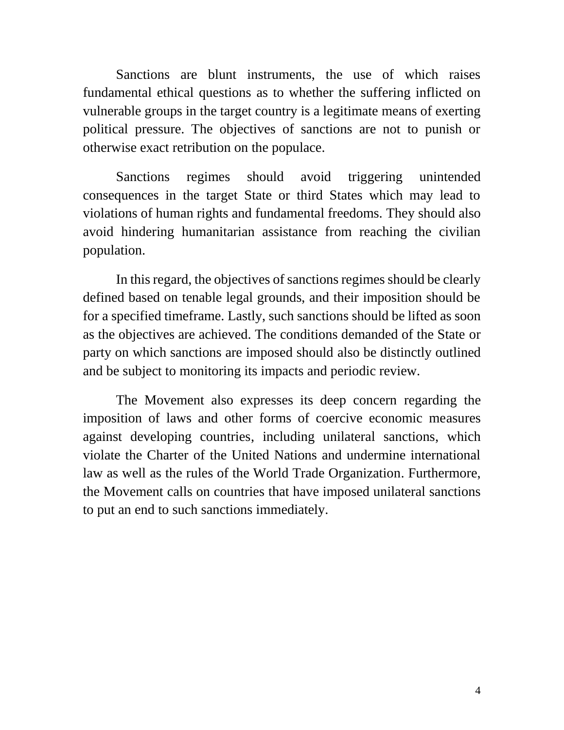Sanctions are blunt instruments, the use of which raises fundamental ethical questions as to whether the suffering inflicted on vulnerable groups in the target country is a legitimate means of exerting political pressure. The objectives of sanctions are not to punish or otherwise exact retribution on the populace.

Sanctions regimes should avoid triggering unintended consequences in the target State or third States which may lead to violations of human rights and fundamental freedoms. They should also avoid hindering humanitarian assistance from reaching the civilian population.

In this regard, the objectives of sanctions regimes should be clearly defined based on tenable legal grounds, and their imposition should be for a specified timeframe. Lastly, such sanctions should be lifted as soon as the objectives are achieved. The conditions demanded of the State or party on which sanctions are imposed should also be distinctly outlined and be subject to monitoring its impacts and periodic review.

The Movement also expresses its deep concern regarding the imposition of laws and other forms of coercive economic measures against developing countries, including unilateral sanctions, which violate the Charter of the United Nations and undermine international law as well as the rules of the World Trade Organization. Furthermore, the Movement calls on countries that have imposed unilateral sanctions to put an end to such sanctions immediately.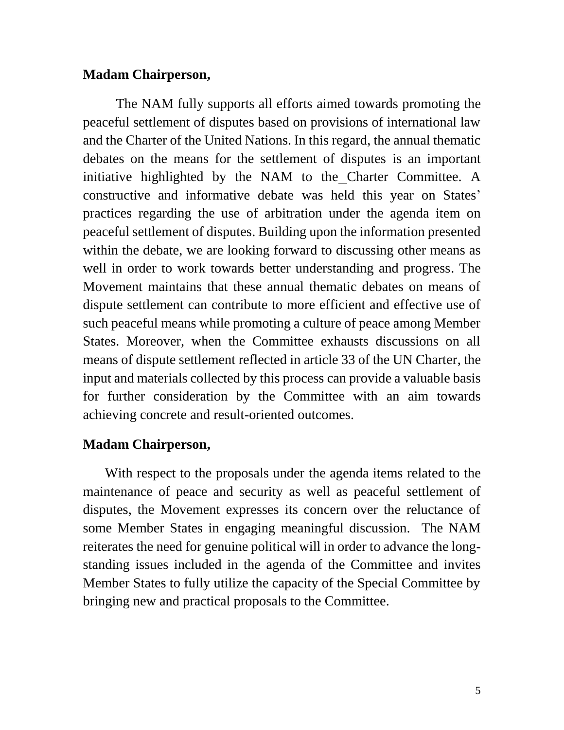### **Madam Chairperson,**

The NAM fully supports all efforts aimed towards promoting the peaceful settlement of disputes based on provisions of international law and the Charter of the United Nations. In this regard, the annual thematic debates on the means for the settlement of disputes is an important initiative highlighted by the NAM to the Charter Committee. A constructive and informative debate was held this year on States' practices regarding the use of arbitration under the agenda item on peaceful settlement of disputes. Building upon the information presented within the debate, we are looking forward to discussing other means as well in order to work towards better understanding and progress. The Movement maintains that these annual thematic debates on means of dispute settlement can contribute to more efficient and effective use of such peaceful means while promoting a culture of peace among Member States. Moreover, when the Committee exhausts discussions on all means of dispute settlement reflected in article 33 of the UN Charter, the input and materials collected by this process can provide a valuable basis for further consideration by the Committee with an aim towards achieving concrete and result-oriented outcomes.

#### **Madam Chairperson,**

With respect to the proposals under the agenda items related to the maintenance of peace and security as well as peaceful settlement of disputes, the Movement expresses its concern over the reluctance of some Member States in engaging meaningful discussion. The NAM reiterates the need for genuine political will in order to advance the longstanding issues included in the agenda of the Committee and invites Member States to fully utilize the capacity of the Special Committee by bringing new and practical proposals to the Committee.